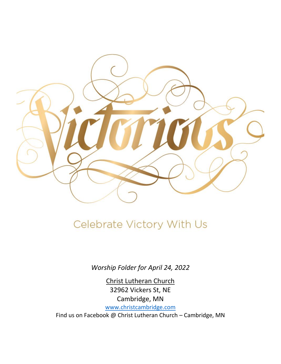

# Celebrate Victory With Us

*Worship Folder for April 24, 2022*

Christ Lutheran Church 32962 Vickers St, NE Cambridge, MN [www.christcambridge.com](http://www.christcambridge.com/) Find us on Facebook @ Christ Lutheran Church – Cambridge, MN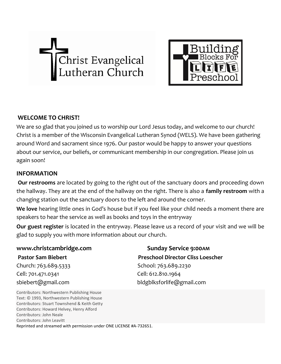



## **WELCOME TO CHRIST!**

We are so glad that you joined us to worship our Lord Jesus today, and welcome to our church! Christ is a member of the Wisconsin Evangelical Lutheran Synod (WELS). We have been gathering around Word and sacrament since 1976. Our pastor would be happy to answer your questions about our service, our beliefs, or communicant membership in our congregation. Please join us again soon!

### **INFORMATION**

**Our restrooms** are located by going to the right out of the sanctuary doors and proceeding down the hallway. They are at the end of the hallway on the right. There is also a **family restroom** with a changing station out the sanctuary doors to the left and around the corner.

**We love** hearing little ones in God's house but if you feel like your child needs a moment there are speakers to hear the service as well as books and toys in the entryway

**Our guest register** is located in the entryway. Please leave us a record of your visit and we will be glad to supply you with more information about our church.

Church: 763.689.5333 School: 763.689.2230 Cell: 701.471.0341 Cell: 612.810.1964 sbiebert@gmail.com bldgblksforlife@gmail.com

**www.christcambridge.com** Sunday Service 9:00AM Pastor Sam Biebert **Preschool Director Cliss Loescher** 

Contributors: Northwestern Publishing House Text: © 1993, Northwestern Publishing House Contributors: Stuart Townshend & Keith Getty Contributors: Howard Helvey, Henry Alford Contributors: John Neale Contributors: John Leavitt Reprinted and streamed with permission under ONE LICENSE #A-732651.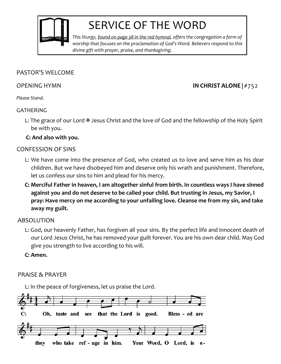

# SERVICE OF THE WORD

*This liturgy, found on page 38 in the red hymnal, offers the congregation a form of worship that focuses on the proclamation of God's Word. Believers respond to this divine gift with prayer, praise, and thanksgiving.*

### PASTOR'S WELCOME

# OPENING HYMN **IN CHRIST ALONE |** #752

*Please Stand.*

## GATHERING

L: The grace of our Lord  $\overline{\mathcal{F}}$  Jesus Christ and the love of God and the fellowship of the Holy Spirit be with you.

## **C: And also with you***.*

# CONFESSION OF SINS

- L: We have come into the presence of God, who created us to love and serve him as his dear children. But we have disobeyed him and deserve only his wrath and punishment. Therefore, let us confess our sins to him and plead for his mercy.
- **C: Merciful Father in heaven, I am altogether sinful from birth. In countless ways I have sinned against you and do not deserve to be called your child. But trusting in Jesus, my Savior, I pray: Have mercy on me according to your unfailing love. Cleanse me from my sin, and take away my guilt.**

# ABSOLUTION

L: God, our heavenly Father, has forgiven all your sins. By the perfect life and innocent death of our Lord Jesus Christ, he has removed your guilt forever. You are his own dear child. May God give you strength to live according to his will.

**C: Amen.**

# PRAISE & PRAYER

L: In the peace of forgiveness, let us praise the Lord.

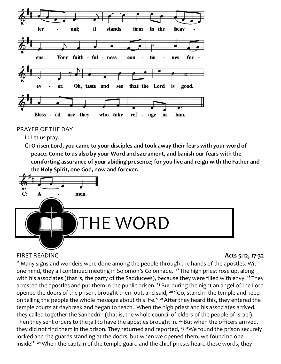

PRAYER OF THE DAY

L: Let us pray.

**C: O risen Lord, you came to your disciples and took away their fears with your word of peace. Come to us also by your Word and sacrament, and banish our fears with the comforting assurance of your abiding presence; for you live and reign with the Father and the Holy Spirit, one God, now and forever.**



# FIRST READING **Acts 5:12, 17-32**

**<sup>12</sup>**Many signs and wonders were done among the people through the hands of the apostles. With one mind, they all continued meeting in Solomon's Colonnade. **<sup>17</sup>** The high priest rose up, along with his associates (that is, the party of the Sadducees), because they were filled with envy. **<sup>18</sup>** They arrested the apostles and put them in the public prison. **<sup>19</sup>**But during the night an angel of the Lord opened the doors of the prison, brought them out, and said, **<sup>20</sup>** "Go, stand in the temple and keep on telling the people the whole message about this life." **<sup>21</sup>**After they heard this, they entered the temple courts at daybreak and began to teach. When the high priest and his associates arrived, they called together the Sanhedrin (that is, the whole council of elders of the people of Israel). Then they sent orders to the jail to have the apostles brought in. **<sup>22</sup>** But when the officers arrived, they did not find them in the prison. They returned and reported, **<sup>23</sup>** "We found the prison securely locked and the guards standing at the doors, but when we opened them, we found no one inside!" **<sup>24</sup>**When the captain of the temple guard and the chief priests heard these words, they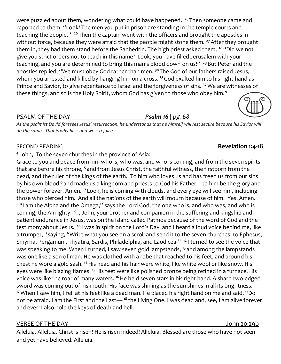were puzzled about them, wondering what could have happened. **<sup>25</sup>** Then someone came and reported to them, "Look! The men you put in prison are standing in the temple courts and teaching the people." **<sup>26</sup>** Then the captain went with the officers and brought the apostles in without force, because they were afraid that the people might stone them. **<sup>27</sup>**After they brought them in, they had them stand before the Sanhedrin. The high priest asked them, **<sup>28</sup>** "Did we not give you strict orders not to teach in this name? Look, you have filled Jerusalem with your teaching, and you are determined to bring this man's blood down on us!" **<sup>29</sup>**But Peter and the apostles replied, "We must obey God rather than men. **<sup>30</sup>** The God of our fathers raised Jesus, whom you arrested and killed by hanging him on a cross. **<sup>31</sup>**God exalted him to his right hand as Prince and Savior, to give repentance to Israel and the forgiveness of sins. **<sup>32</sup>**We are witnesses of these things, and so is the Holy Spirit, whom God has given to those who obey him."

### PSALM OF THE DAY *Psalm 16 | pg. 68*

*As the psalmist David foresees Jesus' resurrection, he understands that he himself will rest secure because his Savior will do the same. That is why he – and we – rejoice.*

### SECOND READING **Revelation 1:4-18**

### **4** John, To the seven churches in the province of Asia:

Grace to you and peace from him who is, who was, and who is coming, and from the seven spirits that are before his throne, **<sup>5</sup>** and from Jesus Christ, the faithful witness, the firstborn from the dead, and the ruler of the kings of the earth. To him who loves us and has freed us from our sins by his own blood **<sup>6</sup>** and made us a kingdom and priests to God his Father—to him be the glory and the power forever. Amen. **<sup>7</sup>** Look, he is coming with clouds, and every eye will see him, including those who pierced him. And all the nations of the earth will mourn because of him. Yes. Amen. **<sup>8</sup>** "I am the Alpha and the Omega," says the Lord God, the one who is, and who was, and who is coming, the Almighty. <sup>9</sup>I, John, your brother and companion in the suffering and kingship and patient endurance in Jesus, was on the island called Patmos because of the word of God and the testimony about Jesus. **<sup>10</sup>** I was in spirit on the Lord's Day, and I heard a loud voice behind me, like a trumpet, **<sup>11</sup>** saying, "Write what you see on a scroll and send it to the seven churches: to Ephesus, Smyrna, Pergamum, Thyatira, Sardis, Philadelphia, and Laodicea." **<sup>12</sup>** I turned to see the voice that was speaking to me. When I turned, I saw seven gold lampstands, **<sup>13</sup>** and among the lampstands was one like a son of man. He was clothed with a robe that reached to his feet, and around his chest he wore a gold sash. **<sup>14</sup>**His head and his hair were white, like white wool or like snow. His eyes were like blazing flames. **<sup>15</sup>**His feet were like polished bronze being refined in a furnace. His voice was like the roar of many waters. **<sup>16</sup>**He held seven stars in his right hand. A sharp two-edged sword was coming out of his mouth. His face was shining as the sun shines in all its brightness. **<sup>17</sup>**When I saw him, I fell at his feet like a dead man. He placed his right hand on me and said, "Do not be afraid. I am the First and the Last— **<sup>18</sup>** the Living One. I was dead and, see, I am alive forever and ever! I also hold the keys of death and hell.

### VERSE OF THE DAY John 20:29b

Alleluia. Alleluia. Christ is risen! He is risen indeed! Alleluia. Blessed are those who have not seen and yet have believed. Alleluia.



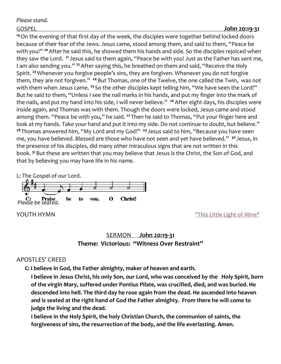### *Please stand.*

### GOSPEL **John 20:19-31**

**<sup>19</sup>**On the evening of that first day of the week, the disciples were together behind locked doors because of their fear of the Jews. Jesus came, stood among them, and said to them, "Peace be with you!" **<sup>20</sup>**After he said this, he showed them his hands and side. So the disciples rejoiced when they saw the Lord. **<sup>21</sup>** Jesus said to them again, "Peace be with you! Just as the Father has sent me, I am also sending you." **<sup>22</sup>**After saying this, he breathed on them and said, "Receive the Holy Spirit. **<sup>23</sup>**Whenever you forgive people's sins, they are forgiven. Whenever you do not forgive them, they are not forgiven." **<sup>24</sup>** But Thomas, one of the Twelve, the one called the Twin, was not with them when Jesus came.<sup>25</sup> So the other disciples kept telling him, "We have seen the Lord!" But he said to them, "Unless I see the nail marks in his hands, and put my finger into the mark of the nails, and put my hand into his side, I will never believe." **<sup>26</sup>**After eight days, his disciples were inside again, and Thomas was with them. Though the doors were locked, Jesus came and stood among them. "Peace be with you," he said. **<sup>27</sup>** Then he said to Thomas, "Put your finger here and look at my hands. Take your hand and put it into my side. Do not continue to doubt, but believe." **<sup>28</sup>** Thomas answered him, "My Lord and my God!" **<sup>29</sup>** Jesus said to him, "Because you have seen me, you have believed. Blessed are those who have not seen and yet have believed." **<sup>30</sup>** Jesus, in the presence of his disciples, did many other miraculous signs that are not written in this book. **<sup>31</sup>** But these are written that you may believe that Jesus is the Christ, the Son of God, and that by believing you may have life in his name.

L: The Gospel of our Lord. *Please be seated.* be  $\mathbf 0$ Christ! to you,

**YOUTH HYMN** THE STATE OF THE SET OF THE SET OF THE SET OF THE STATE OF MINE.

# SERMON **[John 20:19-31](https://youtu.be/Ba_Ym8IrhbY) Theme: Victorious: "Witness Over Restraint"**

### APOSTLES' CREED

**C: I believe in God, the Father almighty, maker of heaven and earth.**

**I believe in Jesus Christ, his only Son, our Lord, who was conceived by the Holy Spirit, born of the virgin Mary, suffered under Pontius Pilate, was crucified, died, and was buried. He descended into hell. The third day he rose again from the dead. He ascended into heaven and is seated at the right hand of God the Father almighty. From there he will come to judge the living and the dead.**

**I believe in the Holy Spirit, the holy Christian Church, the communion of saints, the forgiveness of sins, the resurrection of the body, and the life everlasting. Amen.**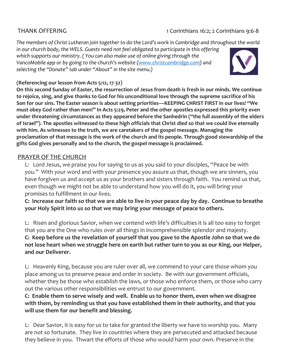# THANK OFFERING 1 Corinthians 16:2; 2 Corinthians 9:6-8

*The members of Christ Lutheran join together to do the Lord's work in Cambridge and throughout the world in our church body, the WELS. Guests need not feel obligated to participate in this offering which supports our ministry. ( You can also make use of online giving through the VancoMobile app or by going to the church's website [\(www.christcambridge.com\)](http://www.christcambridge.com/)* and *selecting the "Donate" tab under "About" in the site menu.)*



![](_page_6_Picture_4.jpeg)

### **(Referencing our lesson from Acts 5:12, 17-32)**

**On this second Sunday of Easter, the resurrection of Jesus from death is fresh in our minds. We continue to rejoice, sing, and give thanks to God for his unconditional love through the supreme sacrifice of his Son for our sins. The Easter season is about setting priorities—KEEPING CHRIST FIRST in our lives! "We must obey God rather than men!" In Acts 5:29, Peter and the other apostles expressed this priority even under threatening circumstances as they appeared before the Sanhedrin ("the full assembly of the elders of Israel"). The apostles witnessed to these high officials that Christ died so that we could live eternally with him. As witnesses to the truth, we are caretakers of the gospel message. Managing the proclamation of that message is the work of the church and its people. Through good stewardship of the gifts God gives personally and to the church, the gospel message is proclaimed.**

# PRAYER OF THE CHURCH

L: Lord Jesus, we praise you for saying to us as you said to your disciples, "Peace be with you." With your word and with your presence you assure us that, though we are sinners, you have forgiven us and accept us as your brothers and sisters through faith. You remind us that, even though we might not be able to understand how you will do it, you will bring your promises to fulfillment in our lives.

**C: Increase our faith so that we are able to live in your peace day by day. Continue to breathe your Holy Spirit into us so that we may bring your message of peace to others.**

L: Risen and glorious Savior, when we contend with life's difficulties it is all too easy to forget that you are the One who rules over all things in incomprehensible splendor and majesty.

**C: Keep before us the revelation of yourself that you gave to the Apostle John so that we do not lose heart when we struggle here on earth but rather turn to you as our King, our Helper, and our Deliverer.**

L: Heavenly King, because you are ruler over all, we commend to your care those whom you place among us to preserve peace and order in society. Be with our government officials, whether they be those who establish the laws, or those who enforce them, or those who carry out the various other responsibilities we entrust to our government.

**C: Enable them to serve wisely and well. Enable us to honor them, even when we disagree with them, by reminding us that you have established them in their authority, and that you will use them for our benefit and blessing.**

L: Dear Savior, it is easy for us to take for granted the liberty we have to worship you. Many are not so fortunate. They live in countries where they are persecuted and attacked because they believe in you. Thwart the efforts of those who would harm your own. Preserve in the